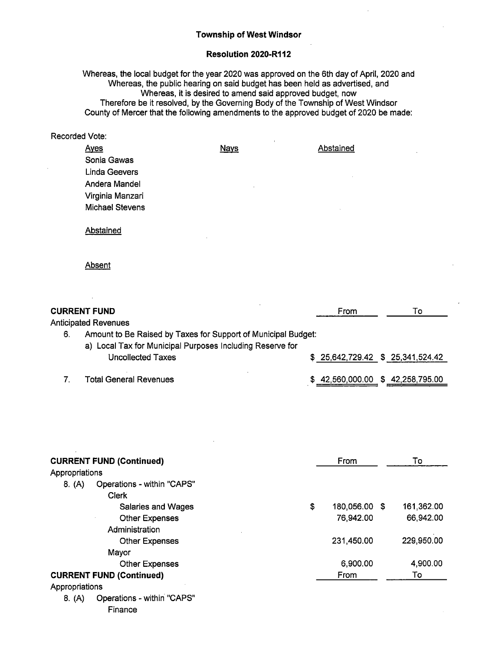## Township of West Windsor

## Resolution 2020-R112

Whereas, the local budget for the year 2020 was approved on the 6th day of April, 2020 and Whereas, the public hearing on said budget has been held as advertised, and Whereas, it is desired to amend said approved budget, now Therefore be it resolved, by the Governing Body of the Township of West Windsor County of Mercer that the following amendments to the approved budget of 2020 be made:

| <b>Recorded Vote:</b> |                        |             |                       |
|-----------------------|------------------------|-------------|-----------------------|
|                       | <b>Ayes</b>            | <b>Nays</b> | Abstained<br>$\Delta$ |
|                       | Sonia Gawas            |             |                       |
|                       | Linda Geevers          |             | $\overline{a}$        |
|                       | Andera Mandel          |             |                       |
|                       | Virginia Manzari       |             |                       |
|                       | <b>Michael Stevens</b> |             | $\sim$                |
|                       | Abstained<br>٠         |             |                       |

Absent

|    | <b>CURRENT FUND</b>                                                                                                                             | From                              | To |
|----|-------------------------------------------------------------------------------------------------------------------------------------------------|-----------------------------------|----|
|    | <b>Anticipated Revenues</b>                                                                                                                     |                                   |    |
| 6. | Amount to Be Raised by Taxes for Support of Municipal Budget:<br>a) Local Tax for Municipal Purposes Including Reserve for<br>Uncollected Taxes | \$ 25,642,729.42 \$ 25,341,524.42 |    |
|    | <b>Total General Revenues</b>                                                                                                                   | \$42,560,000.00 \$42,258,795.00   |    |

| <b>CURRENT FUND (Continued)</b>      |    | From          | To         |  |
|--------------------------------------|----|---------------|------------|--|
| Appropriations                       |    |               |            |  |
| Operations - within "CAPS"<br>8. (A) |    |               |            |  |
| <b>Clerk</b>                         |    |               |            |  |
| Salaries and Wages                   | \$ | 180,056.00 \$ | 161,362.00 |  |
| <b>Other Expenses</b>                |    | 76,942.00     | 66,942.00  |  |
| Administration                       |    |               |            |  |
| <b>Other Expenses</b>                |    | 231,450.00    | 229,950.00 |  |
| Mayor                                |    |               |            |  |
| <b>Other Expenses</b>                |    | 6,900.00      | 4,900.00   |  |
| <b>CURRENT FUND (Continued)</b>      |    | From          | To         |  |
| Appropriations                       |    |               |            |  |
| Operations - within "CAPS"<br>8. (A) |    |               |            |  |
| Finance                              |    |               |            |  |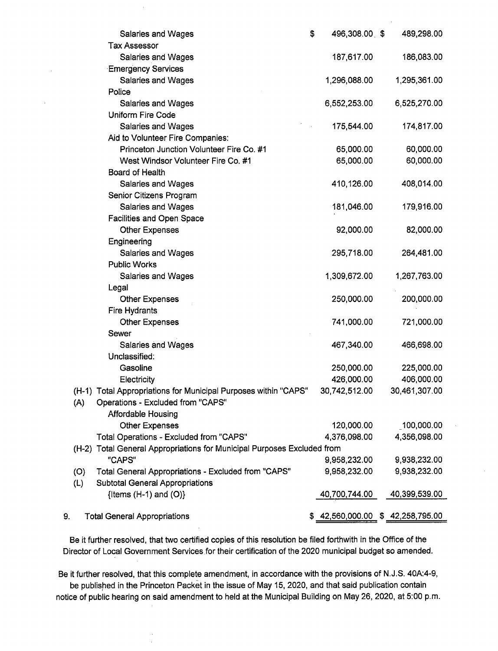|     | <b>Salaries and Wages</b>                                               | \$<br>496,308.00 \$ | 489,298.00                      |
|-----|-------------------------------------------------------------------------|---------------------|---------------------------------|
|     | <b>Tax Assessor</b>                                                     |                     |                                 |
|     | Salaries and Wages                                                      | 187,617.00          | 186,083.00                      |
|     | <b>Emergency Services</b>                                               |                     |                                 |
|     | Salaries and Wages                                                      | 1,296,088.00        | 1,295,361.00                    |
|     | Police                                                                  |                     |                                 |
|     | <b>Salaries and Wages</b>                                               | 6,552,253.00        | 6,525,270.00                    |
|     | <b>Uniform Fire Code</b>                                                |                     |                                 |
|     | Salaries and Wages                                                      | 175,544.00          | 174,817.00                      |
|     | Aid to Volunteer Fire Companies:                                        |                     |                                 |
|     | Princeton Junction Volunteer Fire Co. #1                                | 65,000.00           | 60,000.00                       |
|     | West Windsor Volunteer Fire Co. #1                                      | 65,000.00           | 60,000.00                       |
|     | Board of Health                                                         |                     |                                 |
|     | Salaries and Wages                                                      | 410,126.00          | 408,014.00                      |
|     | Senior Citizens Program                                                 |                     |                                 |
|     | Salaries and Wages                                                      | 181,046.00          | 179,916.00                      |
|     | <b>Facilities and Open Space</b>                                        |                     |                                 |
|     | <b>Other Expenses</b>                                                   | 92,000.00           | 82,000.00                       |
|     | Engineering                                                             |                     |                                 |
|     | Salaries and Wages                                                      | 295,718.00          | 264,481.00                      |
|     | <b>Public Works</b>                                                     |                     |                                 |
|     | Salaries and Wages                                                      | 1,309,672.00        | 1,267,763.00                    |
|     | Legal                                                                   |                     |                                 |
|     | <b>Other Expenses</b>                                                   | 250,000.00          | 200,000.00                      |
|     | Fire Hydrants                                                           |                     |                                 |
|     | <b>Other Expenses</b>                                                   | 741,000.00          | 721,000.00                      |
|     | Sewer                                                                   |                     |                                 |
|     | <b>Salaries and Wages</b>                                               | 467,340.00          | 466,698.00                      |
|     | Unclassified:                                                           |                     |                                 |
|     | Gasoline                                                                | 250,000.00          | 225,000.00                      |
|     | Electricity                                                             | 426,000.00          | 406,000.00                      |
|     | (H-1) Total Appropriations for Municipal Purposes within "CAPS"         | 30,742,512.00       | 30,461,307.00                   |
| (A) | Operations - Excluded from "CAPS"                                       |                     |                                 |
|     | <b>Affordable Housing</b>                                               |                     |                                 |
|     | <b>Other Expenses</b>                                                   | 120,000.00          | 100,000.00                      |
|     | Total Operations - Excluded from "CAPS"                                 | 4,376,098.00        | 4,356,098.00                    |
|     | (H-2) Total General Appropriations for Municipal Purposes Excluded from |                     |                                 |
|     | "CAPS"                                                                  | 9,958,232.00        | 9,938,232.00                    |
| (O) | Total General Appropriations - Excluded from "CAPS"                     | 9,958,232.00        | 9,938,232.00                    |
| (L) | <b>Subtotal General Appropriations</b>                                  |                     |                                 |
|     | {Items $(H-1)$ and $(O)$ }                                              | 40,700,744.00       | 40,399,539.00                   |
|     |                                                                         |                     |                                 |
| 9.  | <b>Total General Appropriations</b>                                     |                     | \$42,560,000.00 \$42,258,795.00 |

Be it further resolved, that two certified copies of this resolution be filed forthwith in the Office of the Director of Local Government Services for their certification of the 2020 municipal budget so amended.

Be it further resolved, that this complete amendment, in accordance with the provisions of N.J.S. 40A:4-9, be published in the Princeton Packet in the issue of May 15, 2020, and that said publication contain notice of public hearing on said amendment to held at the Municipal Building on May 26, 2020, at 5: 00 p. m.